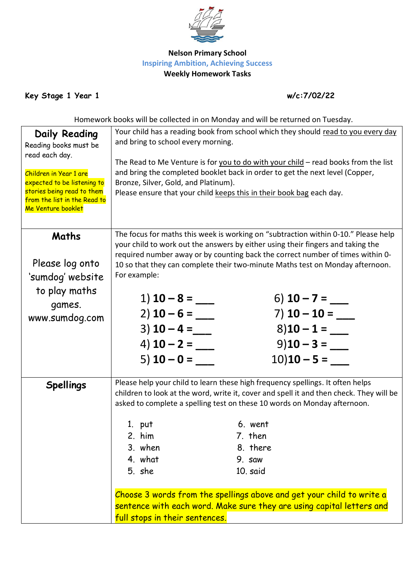

## **Nelson Primary School Inspiring Ambition, Achieving Success Weekly Homework Tasks**

**Key Stage 1 Year 1 w/c:7/02/22**

Homework books will be collected in on Monday and will be returned on Tuesday.

| <b>Daily Reading</b>                                      | Your child has a reading book from school which they should read to you every day                       |                                                                                    |  |  |  |
|-----------------------------------------------------------|---------------------------------------------------------------------------------------------------------|------------------------------------------------------------------------------------|--|--|--|
| Reading books must be                                     | and bring to school every morning.                                                                      |                                                                                    |  |  |  |
| read each day.                                            |                                                                                                         |                                                                                    |  |  |  |
|                                                           |                                                                                                         | The Read to Me Venture is for you to do with your child - read books from the list |  |  |  |
| Children in Year 1 are                                    | and bring the completed booklet back in order to get the next level (Copper,                            |                                                                                    |  |  |  |
| expected to be listening to<br>stories being read to them | Bronze, Silver, Gold, and Platinum).                                                                    |                                                                                    |  |  |  |
| from the list in the Read to                              | Please ensure that your child keeps this in their book bag each day.                                    |                                                                                    |  |  |  |
| Me Venture booklet                                        |                                                                                                         |                                                                                    |  |  |  |
|                                                           |                                                                                                         |                                                                                    |  |  |  |
| Maths                                                     | The focus for maths this week is working on "subtraction within 0-10." Please help                      |                                                                                    |  |  |  |
|                                                           | your child to work out the answers by either using their fingers and taking the                         |                                                                                    |  |  |  |
|                                                           | required number away or by counting back the correct number of times within 0-                          |                                                                                    |  |  |  |
| Please log onto                                           | 10 so that they can complete their two-minute Maths test on Monday afternoon.                           |                                                                                    |  |  |  |
| 'sumdog' website                                          | For example:                                                                                            |                                                                                    |  |  |  |
| to play maths                                             |                                                                                                         |                                                                                    |  |  |  |
| games.                                                    | 1) $10 - 8 =$                                                                                           | 6) $10 - 7 =$ _____                                                                |  |  |  |
| www.sumdog.com                                            | $2)$ 10 – 6 =                                                                                           | 7) $10 - 10 =$                                                                     |  |  |  |
|                                                           | $3)$ 10 – 4 =                                                                                           | $8)10 - 1 =$                                                                       |  |  |  |
|                                                           | 4) <b>10 – 2 =</b>                                                                                      | $9)10 - 3 =$                                                                       |  |  |  |
|                                                           | $(5)$ 10 – 0 = ___                                                                                      | $10)10 - 5 =$                                                                      |  |  |  |
|                                                           |                                                                                                         |                                                                                    |  |  |  |
| <b>Spellings</b>                                          | Please help your child to learn these high frequency spellings. It often helps                          |                                                                                    |  |  |  |
|                                                           | children to look at the word, write it, cover and spell it and then check. They will be                 |                                                                                    |  |  |  |
|                                                           | asked to complete a spelling test on these 10 words on Monday afternoon.                                |                                                                                    |  |  |  |
|                                                           |                                                                                                         |                                                                                    |  |  |  |
|                                                           | 1. put                                                                                                  | 6. went                                                                            |  |  |  |
|                                                           | 2. him                                                                                                  | 7. then                                                                            |  |  |  |
|                                                           | 3. when                                                                                                 | 8. there                                                                           |  |  |  |
|                                                           | 4. what                                                                                                 | 9. saw                                                                             |  |  |  |
|                                                           | 5. she                                                                                                  | 10. said                                                                           |  |  |  |
|                                                           |                                                                                                         |                                                                                    |  |  |  |
|                                                           | Choose 3 words from the spellings above and get your child to write a                                   |                                                                                    |  |  |  |
|                                                           | sentence with each word. Make sure they are using capital letters and<br>full stops in their sentences. |                                                                                    |  |  |  |
|                                                           |                                                                                                         |                                                                                    |  |  |  |